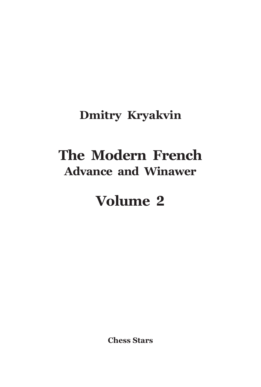## **Dmitry Kryakvin**

## **The Modern French Advance and Winawer**

# **Volume 2**

**Chess Stars**